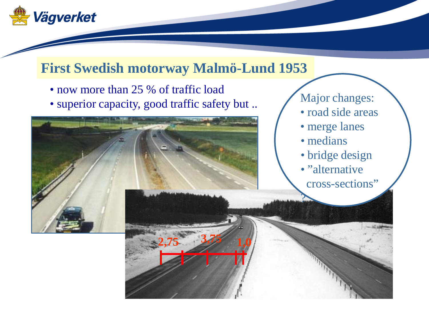

### **First Swedish motorway Malmö-Lund 1953**

- now more than 25 % of traffic load
- superior capacity, good traffic safety but ..



#### Major changes:

- road side areas
- merge lanes
- medians

?

- bridge design
- "alternative
- cross-sections"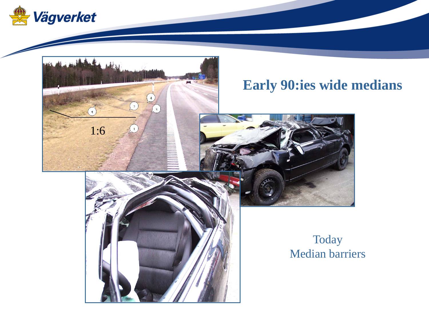

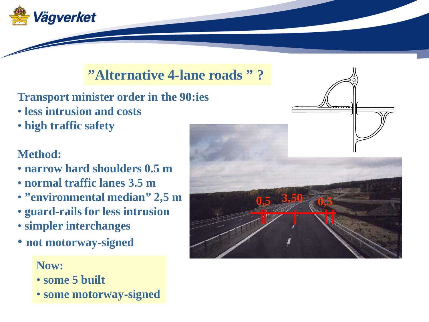

#### **"Alternative 4-lane roads " ?**

**Transport minister order in the 90:ies**

- **less intrusion and costs**
- **high traffic safety**

#### **Method:**

- **narrow hard shoulders 0.5 m**
- **normal traffic lanes 3.5 m**
- **"environmental median" 2,5 m**
- **guard-rails for less intrusion**
- **simpler interchanges**
- **not motorway-signed**

**Now:**

- **some 5 built**
- **some motorway-signed**

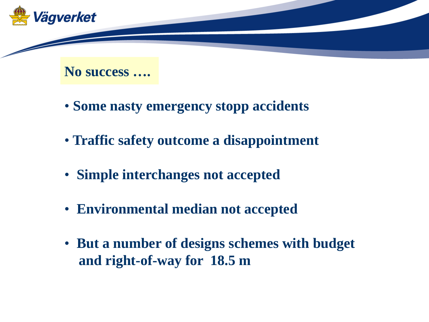

**No success ….**

- **Some nasty emergency stopp accidents**
- **Traffic safety outcome a disappointment**
- **Simple interchanges not accepted**
- **Environmental median not accepted**
- **But a number of designs schemes with budget and right-of-way for 18.5 m**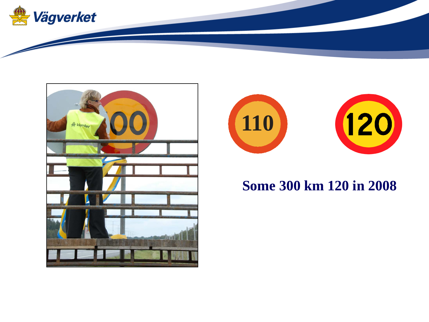





#### **Some 300 km 120 in 2008**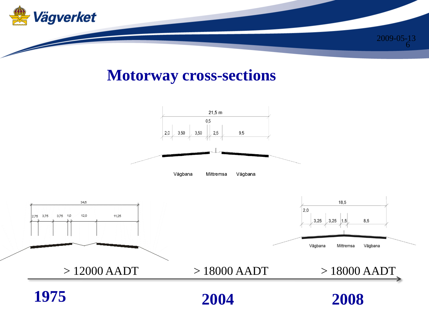

### **Motorway cross-sections**

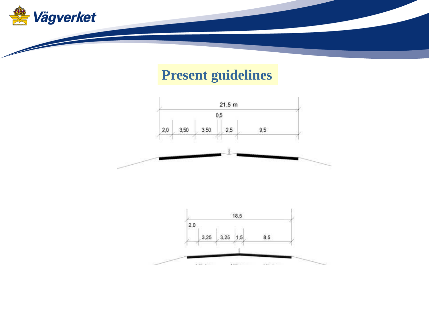

### **Present guidelines**



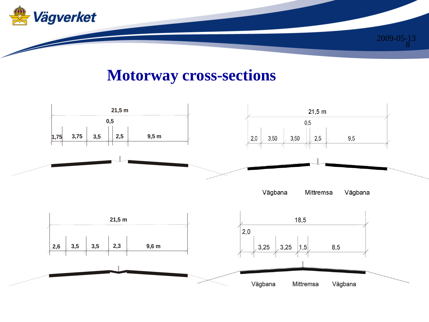

### **Motorway cross-sections**

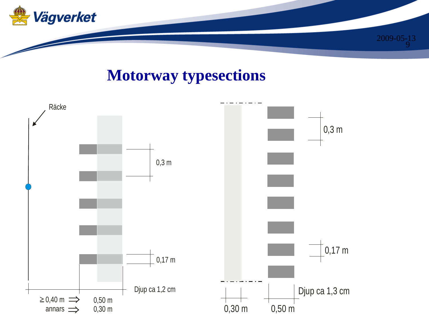

## **Motorway typesections**

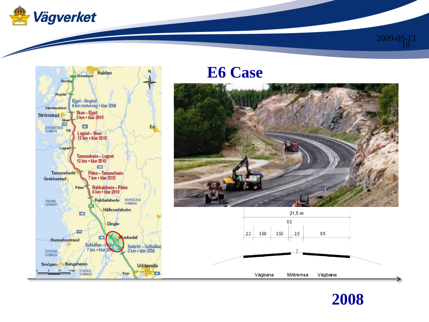



## **E6 Case**







10 2009-05-13